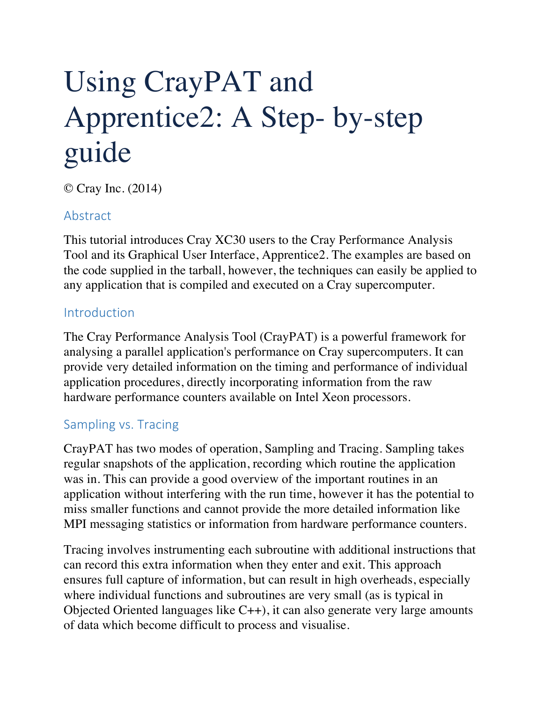# Using CrayPAT and Apprentice2: A Step- by-step guide

© Cray Inc. (2014)

# Abstract

This tutorial introduces Cray XC30 users to the Cray Performance Analysis Tool and its Graphical User Interface, Apprentice2. The examples are based on the code supplied in the tarball, however, the techniques can easily be applied to any application that is compiled and executed on a Cray supercomputer.

#### Introduction

The Cray Performance Analysis Tool (CrayPAT) is a powerful framework for analysing a parallel application's performance on Cray supercomputers. It can provide very detailed information on the timing and performance of individual application procedures, directly incorporating information from the raw hardware performance counters available on Intel Xeon processors.

#### Sampling vs. Tracing

CrayPAT has two modes of operation, Sampling and Tracing. Sampling takes regular snapshots of the application, recording which routine the application was in. This can provide a good overview of the important routines in an application without interfering with the run time, however it has the potential to miss smaller functions and cannot provide the more detailed information like MPI messaging statistics or information from hardware performance counters.

Tracing involves instrumenting each subroutine with additional instructions that can record this extra information when they enter and exit. This approach ensures full capture of information, but can result in high overheads, especially where individual functions and subroutines are very small (as is typical in Objected Oriented languages like C++), it can also generate very large amounts of data which become difficult to process and visualise.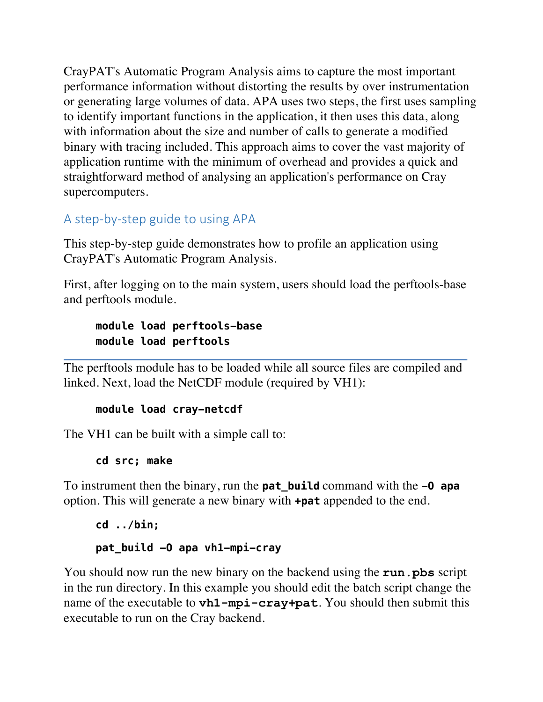CrayPAT's Automatic Program Analysis aims to capture the most important performance information without distorting the results by over instrumentation or generating large volumes of data. APA uses two steps, the first uses sampling to identify important functions in the application, it then uses this data, along with information about the size and number of calls to generate a modified binary with tracing included. This approach aims to cover the vast majority of application runtime with the minimum of overhead and provides a quick and straightforward method of analysing an application's performance on Cray supercomputers.

# A step-by-step guide to using APA

This step-by-step guide demonstrates how to profile an application using CrayPAT's Automatic Program Analysis.

First, after logging on to the main system, users should load the perftools-base and perftools module.

#### **module load perftools-base module load perftools**

The perftools module has to be loaded while all source files are compiled and linked. Next, load the NetCDF module (required by VH1):

#### **module load cray-netcdf**

The VH1 can be built with a simple call to:

**cd src; make** 

To instrument then the binary, run the **pat\_build** command with the **-O apa** option. This will generate a new binary with **+pat** appended to the end.

# **cd ../bin; pat\_build -O apa vh1-mpi-cray**

You should now run the new binary on the backend using the **run.pbs** script in the run directory. In this example you should edit the batch script change the name of the executable to **vh1-mpi-cray+pat**. You should then submit this executable to run on the Cray backend.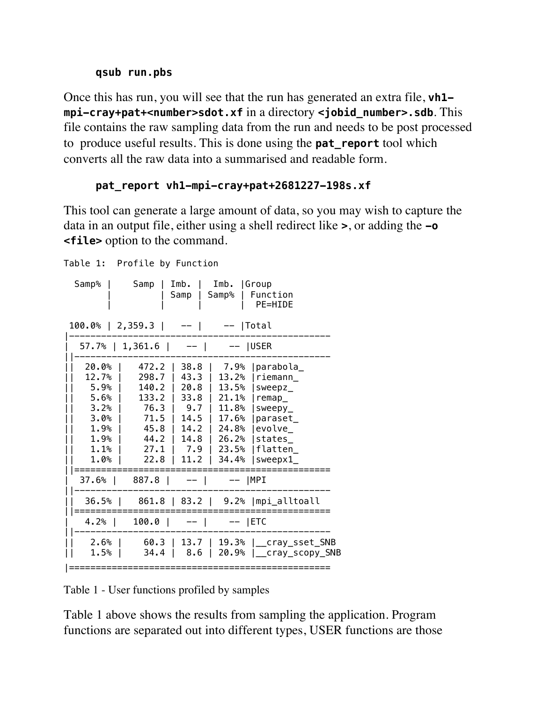#### **qsub run.pbs**

Once this has run, you will see that the run has generated an extra file, **vh1 mpi-cray+pat+<number>sdot.xf** in a directory **<jobid\_number>.sdb**. This file contains the raw sampling data from the run and needs to be post processed to produce useful results. This is done using the **pat\_report** tool which converts all the raw data into a summarised and readable form.

#### **pat\_report vh1-mpi-cray+pat+2681227-198s.xf**

This tool can generate a large amount of data, so you may wish to capture the data in an output file, either using a shell redirect like **>**, or adding the **-o <file>** option to the command.

```
Table 1: Profile by Function
```

| Samp%                                                                            | Samp                                                                             | Imb.<br>Samp                                                                                                                     | Imb.<br>Samp%                            | <b>Scroup</b><br>Function<br>PE=HIDE                                                                                                                             |
|----------------------------------------------------------------------------------|----------------------------------------------------------------------------------|----------------------------------------------------------------------------------------------------------------------------------|------------------------------------------|------------------------------------------------------------------------------------------------------------------------------------------------------------------|
|                                                                                  | $100.0%$   2,359.3   --                                                          |                                                                                                                                  | --  Total                                |                                                                                                                                                                  |
|                                                                                  | $57.7\%$   1,361.6   --                                                          |                                                                                                                                  | --  USER                                 |                                                                                                                                                                  |
| 20.0%<br>12.7%<br>5.9%<br>5.6%<br>3.2%<br>3.0%<br>ີ 1.9%<br>1.9%<br>1.1%<br>1.0% | 472.2<br>298.7<br>140.2<br>133.2<br>76.3<br>71.5<br>45.8<br>44.2<br>27.1<br>22.8 | 38.8<br>43.3  <br>20.8 I<br>$33.8$  <br>$\vert$ 9.7 $\vert$<br>$14.5$  <br>$\mathbf{L}$<br>$14.2$ $\pm$<br>14.8  <br>7.9<br>11.2 | 7.9%<br>13.2%<br>13.5%<br>26.2%<br>34.4% | parabola_<br> riemann<br>$s$ weepz $_$<br>21.1%   remap_<br>11.8% $ sweey$<br>17.6%   paraset_<br>24.8%   evolve_<br>$ states_$<br>  23.5%   flatten_<br>sweepx1 |
| $37.6%$                                                                          | 887.8   --                                                                       |                                                                                                                                  | --  MPI                                  |                                                                                                                                                                  |
| 36.5%                                                                            |                                                                                  |                                                                                                                                  |                                          | 861.8   83.2   9.2%   mpi_alltoall                                                                                                                               |
| $4.2%$                                                                           | $100.0$                                                                          |                                                                                                                                  | $-  $ $--  $ ETC                         |                                                                                                                                                                  |
| 2.6%<br>1.5%                                                                     | 60.3  <br>34.4                                                                   | $8.6$                                                                                                                            |                                          | 13.7   19.3%   __ cray_sset_SNB<br>20.9%   _cray_scopy_SNB                                                                                                       |
|                                                                                  |                                                                                  |                                                                                                                                  |                                          |                                                                                                                                                                  |

Table 1 - User functions profiled by samples

Table 1 above shows the results from sampling the application. Program functions are separated out into different types, USER functions are those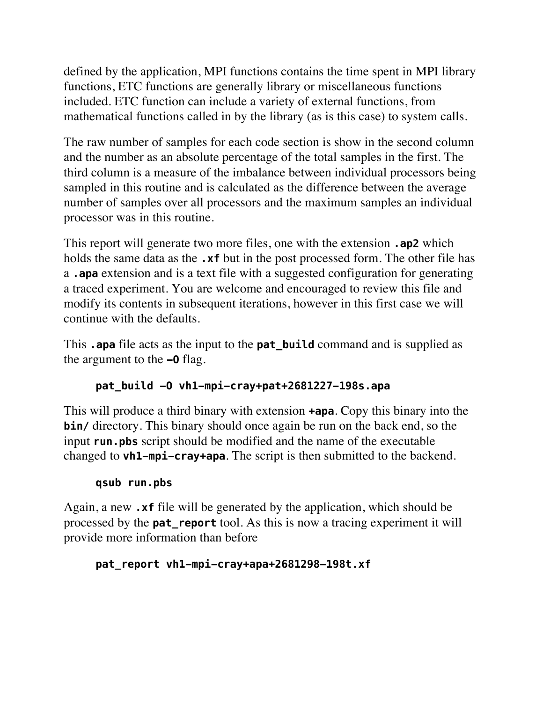defined by the application, MPI functions contains the time spent in MPI library functions, ETC functions are generally library or miscellaneous functions included. ETC function can include a variety of external functions, from mathematical functions called in by the library (as is this case) to system calls.

The raw number of samples for each code section is show in the second column and the number as an absolute percentage of the total samples in the first. The third column is a measure of the imbalance between individual processors being sampled in this routine and is calculated as the difference between the average number of samples over all processors and the maximum samples an individual processor was in this routine.

This report will generate two more files, one with the extension **.ap2** which holds the same data as the **.xf** but in the post processed form. The other file has a **.apa** extension and is a text file with a suggested configuration for generating a traced experiment. You are welcome and encouraged to review this file and modify its contents in subsequent iterations, however in this first case we will continue with the defaults.

This **.apa** file acts as the input to the **pat\_build** command and is supplied as the argument to the **-O** flag.

#### **pat\_build -O vh1-mpi-cray+pat+2681227-198s.apa**

This will produce a third binary with extension **+apa**. Copy this binary into the **bin/** directory. This binary should once again be run on the back end, so the input **run.pbs** script should be modified and the name of the executable changed to **vh1-mpi-cray+apa**. The script is then submitted to the backend.

## **qsub run.pbs**

Again, a new **.xf** file will be generated by the application, which should be processed by the **pat\_report** tool. As this is now a tracing experiment it will provide more information than before

#### **pat\_report vh1-mpi-cray+apa+2681298-198t.xf**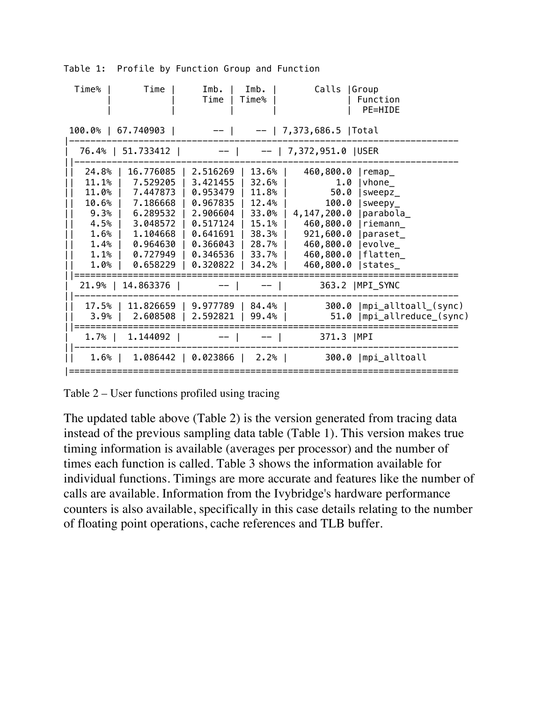| Time%          | Time                 | Imb.<br>Time         | Imb.<br>Time%  | Calls                    | Group<br>Function<br>PE=HIDE        |
|----------------|----------------------|----------------------|----------------|--------------------------|-------------------------------------|
| 100.0%         | 67.740903            |                      |                | 7,373,686.5  Total       |                                     |
|                | 76.4%   51.733412    |                      |                | $--$   7,372,951.0  USER |                                     |
| 24.8%          | 16.776085            | 2.516269             | 13.6%          | 460,800.0                | remap                               |
| 11.1%<br>11.0% | 7.529205<br>7.447873 | 3.421455<br>0.953479 | 32.6%<br>11.8% | 1.0<br>50.0              | $v$ hone $_{-}$<br>$s$ weep $z_{-}$ |
| 10.6%          | 7.186668             | 0.967835             | 12.4%          | 100.0                    | $ $ sweepy                          |
| 9.3%           | 6.289532             | 2.906604             | 33.0%          | 4,147,200.0   parabola   |                                     |
| 4.5%           | 3.048572             | 0.517124             | 15.1%          | 460,800.0   riemann      |                                     |
| 1.6%           | 1.104668             | 0.641691             | 38.3%          | 921,600.0   paraset_     |                                     |
| 1.4%           | 0.964630             | 0.366043             | 28.7%          | 460,800.0                | evolve_                             |
| 1.1%           | 0.727949             | 0.346536             | 33.7%          | 460,800.0                | flatten_                            |
| 1.0%           | 0.658229             | 0.320822             | 34.2%          | 460,800.0                | states_                             |
| $21.9%$        | 14.863376            |                      |                |                          | 363.2   MPI_SYNC                    |
| 17.5%          | 11.826659            | 9.977789             | 84.4%          | 300.0                    | mpi_alltoall_(sync)                 |
| 3.9%           | 2.608508             | 2.592821             | 99.4%          | 51.0                     | mpi_allreduce_(sync)                |
| $1.7%$         | 1.144092             |                      |                | 371.3   MPI              |                                     |
| 1.6% l         | $1.086442$           | 0.023866             | $2.2%$ 1       |                          | 300.0   mpi_alltoall                |
|                |                      |                      |                |                          |                                     |

Table 1: Profile by Function Group and Function

Table 2 – User functions profiled using tracing

The updated table above (Table 2) is the version generated from tracing data instead of the previous sampling data table (Table 1). This version makes true timing information is available (averages per processor) and the number of times each function is called. Table 3 shows the information available for individual functions. Timings are more accurate and features like the number of calls are available. Information from the Ivybridge's hardware performance counters is also available, specifically in this case details relating to the number of floating point operations, cache references and TLB buffer.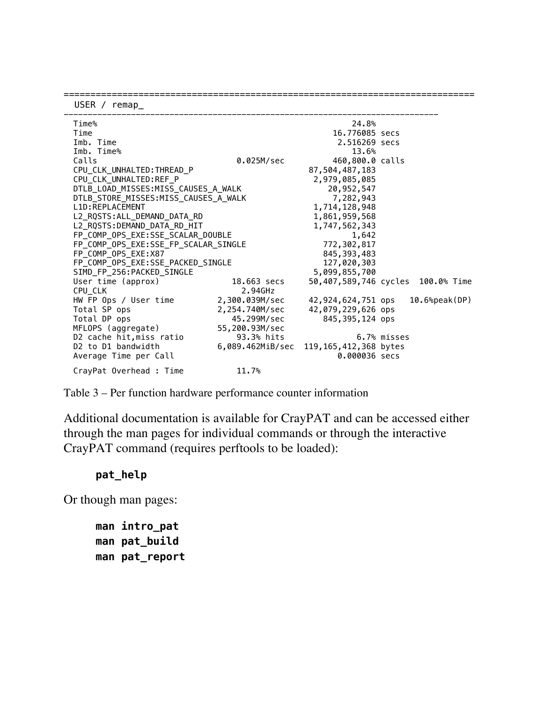| USER / $remap$                             |                                      |                       |                                   |
|--------------------------------------------|--------------------------------------|-----------------------|-----------------------------------|
| Time%                                      |                                      | 24.8%                 |                                   |
| Time                                       |                                      | 16.776085 secs        |                                   |
| Imb. Time                                  |                                      | 2.516269 secs         |                                   |
| Imb. Time%                                 |                                      | 13.6%                 |                                   |
| Calls                                      | 0.025M/sec                           | 460,800.0 calls       |                                   |
| CPU CLK UNHALTED: THREAD P                 |                                      | 87,504,487,183        |                                   |
| CPU_CLK_UNHALTED:REF_P                     |                                      | 2,979,085,085         |                                   |
| DTLB_LOAD_MISSES:MISS_CAUSES_A_WALK        | 20,952,547                           |                       |                                   |
|                                            | DTLB_STORE_MISSES:MISS_CAUSES_A_WALK |                       |                                   |
| L1D: REPLACEMENT                           |                                      |                       |                                   |
| L2_RQSTS:ALL_DEMAND_DATA_RD                |                                      |                       |                                   |
|                                            | L2 RQSTS:DEMAND_DATA_RD_HIT          |                       |                                   |
|                                            | FP_COMP_OPS_EXE:SSE_SCALAR_DOUBLE    |                       |                                   |
|                                            | FP_COMP_OPS_EXE:SSE_FP_SCALAR_SINGLE |                       |                                   |
| FP_COMP_OPS_EXE:X87                        |                                      |                       |                                   |
| FP_COMP_OPS_EXE:SSE_PACKED_SINGLE          |                                      | 127,020,303           |                                   |
| SIMD_FP_256:PACKED_SINGLE                  |                                      | 5,099,855,700         |                                   |
| User time (approx)                         | 18.663 secs                          |                       | 50,407,589,746 cycles 100.0% Time |
| CPU CLK                                    | 2.94GHz                              |                       |                                   |
| HW FP Ops / User time                      | 2,300.039M/sec                       | 42,924,624,751 ops    | $10.6%$ peak $(DP)$               |
| Total SP ops                               | 2,254.740M/sec                       | 42,079,229,626 ops    |                                   |
| Total DP ops                               | 45.299M/sec                          | 845,395,124 ops       |                                   |
| MFLOPS (aggregate)                         | 55.200.93M/sec                       |                       |                                   |
| D2 cache hit, miss ratio                   | 93.3% hits                           |                       | 6.7% misses                       |
| D <sub>2</sub> to D <sub>1</sub> bandwidth | 6,089.462MiB/sec                     | 119,165,412,368 bytes |                                   |
| Average Time per Call                      |                                      | 0.000036 secs         |                                   |
| CrayPat Overhead : Time                    | 11.7%                                |                       |                                   |

=============================================================================

Table 3 – Per function hardware performance counter information

Additional documentation is available for CrayPAT and can be accessed either through the man pages for individual commands or through the interactive CrayPAT command (requires perftools to be loaded):

#### **pat\_help**

Or though man pages:

**man intro\_pat man pat\_build man pat\_report**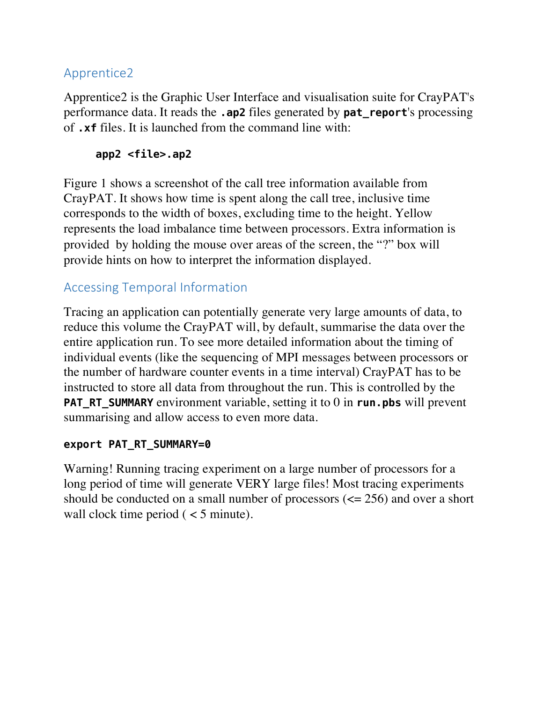## Apprentice2

Apprentice2 is the Graphic User Interface and visualisation suite for CrayPAT's performance data. It reads the **.ap2** files generated by **pat\_report**'s processing of **.xf** files. It is launched from the command line with:

#### **app2 <file>.ap2**

Figure 1 shows a screenshot of the call tree information available from CrayPAT. It shows how time is spent along the call tree, inclusive time corresponds to the width of boxes, excluding time to the height. Yellow represents the load imbalance time between processors. Extra information is provided by holding the mouse over areas of the screen, the "?" box will provide hints on how to interpret the information displayed.

# Accessing Temporal Information

Tracing an application can potentially generate very large amounts of data, to reduce this volume the CrayPAT will, by default, summarise the data over the entire application run. To see more detailed information about the timing of individual events (like the sequencing of MPI messages between processors or the number of hardware counter events in a time interval) CrayPAT has to be instructed to store all data from throughout the run. This is controlled by the **PAT\_RT\_SUMMARY** environment variable, setting it to 0 in **run.pbs** will prevent summarising and allow access to even more data.

#### **export PAT\_RT\_SUMMARY=0**

Warning! Running tracing experiment on a large number of processors for a long period of time will generate VERY large files! Most tracing experiments should be conducted on a small number of processors (<= 256) and over a short wall clock time period  $(< 5$  minute).